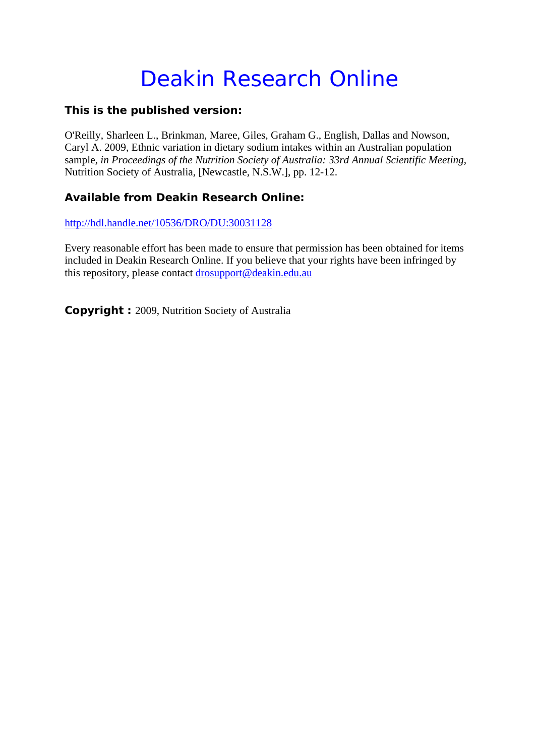## Deakin Research Online

## **This is the published version:**

O'Reilly, Sharleen L., Brinkman, Maree, Giles, Graham G., English, Dallas and Nowson, Caryl A. 2009, Ethnic variation in dietary sodium intakes within an Australian population sample*, in Proceedings of the Nutrition Society of Australia: 33rd Annual Scientific Meeting*, Nutrition Society of Australia, [Newcastle, N.S.W.], pp. 12-12.

## **Available from Deakin Research Online:**

http://hdl.handle.net/10536/DRO/DU:30031128

Every reasonable effort has been made to ensure that permission has been obtained for items included in Deakin Research Online. If you believe that your rights have been infringed by this repository, please contact drosupport@deakin.edu.au

**Copyright :** 2009, Nutrition Society of Australia